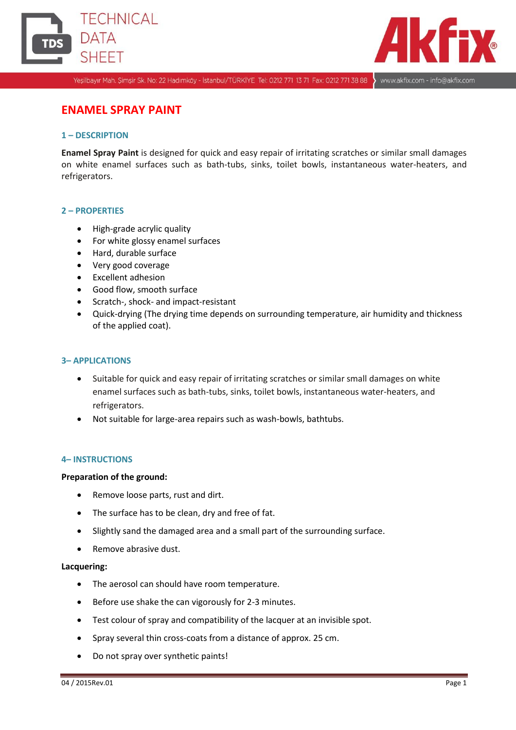



Yeşilbayır Mah. Şimşir Sk. No: 22 Hadımköy - İstanbul/TÜRKİYE Tel: 0212 771 13 71 Fax: 0212 771 38 88

www.akfix.com - info@akfix.com

# **ENAMEL SPRAY PAINT**

# **1 – DESCRIPTION**

**Enamel Spray Paint** is designed for quick and easy repair of irritating scratches or similar small damages on white enamel surfaces such as bath-tubs, sinks, toilet bowls, instantaneous water-heaters, and refrigerators.

# **2 – PROPERTIES**

- High-grade acrylic quality
- For white glossy enamel surfaces
- Hard, durable surface
- Very good coverage
- Excellent adhesion
- Good flow, smooth surface
- Scratch-, shock- and impact-resistant
- Quick-drying (The drying time depends on surrounding temperature, air humidity and thickness of the applied coat).

#### **3– APPLICATIONS**

- Suitable for quick and easy repair of irritating scratches or similar small damages on white enamel surfaces such as bath-tubs, sinks, toilet bowls, instantaneous water-heaters, and refrigerators.
- Not suitable for large-area repairs such as wash-bowls, bathtubs.

#### **4– INSTRUCTIONS**

#### **Preparation of the ground:**

- Remove loose parts, rust and dirt.
- The surface has to be clean, dry and free of fat.
- Slightly sand the damaged area and a small part of the surrounding surface.
- Remove abrasive dust.

## **Lacquering:**

- The aerosol can should have room temperature.
- **•** Before use shake the can vigorously for 2-3 minutes.
- Test colour of spray and compatibility of the lacquer at an invisible spot.
- Spray several thin cross-coats from a distance of approx. 25 cm.
- Do not spray over synthetic paints!